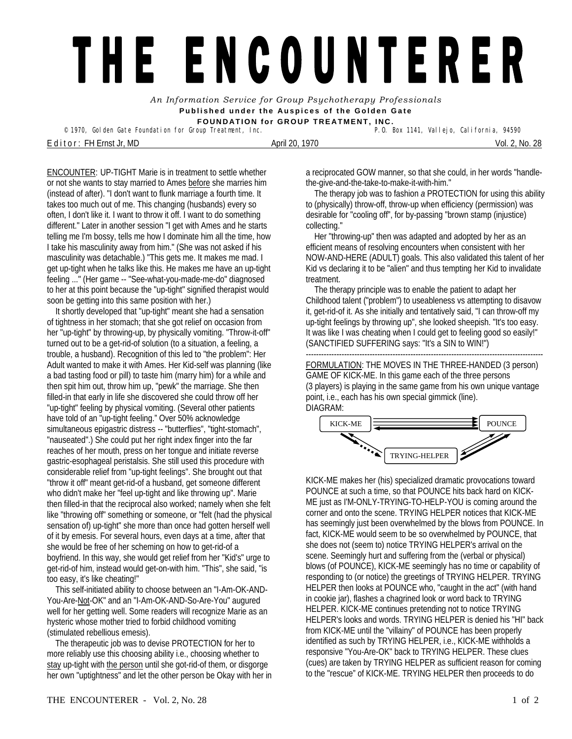## THE ENCOUNTERER

*An Information Service for Group Psychotherapy Professionals*  **Published under the Auspices of the Golden Gate FOUNDATION for GROUP TREATMENT, INC.** 

<sup>©</sup> 1970, Golden Gate Foundation for Group Treatment, Inc.

E d i t o r : FH Ernst Jr, MD April 20, 1970 Vol. 2, No. 28

ENCOUNTER: UP-TIGHT Marie is in treatment to settle whether or not she wants to stay married to Ames before she marries him (instead of after). "I don't want to flunk marriage a fourth time. It takes too much out of me. This changing (husbands) every so often, I don't like it. I want to throw it off. I want to do something different." Later in another session "I get with Ames and he starts telling me I'm bossy, tells me how I dominate him all the time, how I take his masculinity away from him." (She was not asked if his masculinity was detachable.) "This gets me. It makes me mad. I get up-tight when he talks like this. He makes me have an up-tight feeling ..." (Her game -- "See-what-you-made-me-do" diagnosed to her at this point because the "up-tight" signified therapist would soon be getting into this same position with her.)

 It shortly developed that "up-tight" meant she had a sensation of tightness in her stomach; that she got relief on occasion from her "up-tight" by throwing-up, by physically vomiting. "Throw-it-off" turned out to be a get-rid-of solution (to a situation, a feeling, a trouble, a husband). Recognition of this led to "the problem": Her Adult wanted to make it with Ames. Her Kid-self was planning (like a bad tasting food or pill) to taste him (marry him) for a while and then spit him out, throw him up, "pewk" the marriage. She then filled-in that early in life she discovered she could throw off her "up-tight" feeling by physical vomiting. (Several other patients have told of an "up-tight feeling." Over 50% acknowledge simultaneous epigastric distress -- "butterflies", "tight-stomach", "nauseated".) She could put her right index finger into the far reaches of her mouth, press on her tongue and initiate reverse gastric-esophageal peristalsis. She still used this procedure with considerable relief from "up-tight feelings". She brought out that "throw it off" meant get-rid-of a husband, get someone different who didn't make her "feel up-tight and like throwing up". Marie then filled-in that the reciprocal also worked; namely when she felt like "throwing off" something or someone, or "felt (had the physical sensation of) up-tight" she more than once had gotten herself well of it by emesis. For several hours, even days at a time, after that she would be free of her scheming on how to get-rid-of a boyfriend. In this way, she would get relief from her "Kid's" urge to get-rid-of him, instead would get-on-with him. "This", she said, "is too easy, it's like cheating!"

 This self-initiated ability to choose between an "I-Am-OK-AND-You-Are-Not-OK" and an "I-Am-OK-AND-So-Are-You" augured well for her getting well. Some readers will recognize Marie as an hysteric whose mother tried to forbid childhood vomiting (stimulated rebellious emesis).

 The therapeutic job was to devise PROTECTION for her to more reliably use this choosing ability i.e., choosing whether to stay up-tight with the person until she got-rid-of them, or disgorge her own "uptightness" and let the other person be Okay with her in a reciprocated GOW manner, so that she could, in her words "handlethe-give-and-the-take-to-make-it-with-him."

 The therapy job was to fashion *a* PROTECTION for using this ability to (physically) throw-off, throw-up when efficiency (permission) was desirable for "cooling off", for by-passing "brown stamp (injustice) collecting."

 Her "throwing-up" then was adapted and adopted by her as an efficient means of resolving encounters when consistent with her NOW-AND-HERE (ADULT) goals. This also validated this talent of her Kid vs declaring it to be "alien" and thus tempting her Kid to invalidate treatment.

 The therapy principle was to enable the patient to adapt her Childhood talent ("problem") to useableness vs attempting to disavow it, get-rid-of it. As she initially and tentatively said, "I can throw-off my up-tight feelings by throwing up", she looked sheepish. "It's too easy. It was like I was cheating when I could get to feeling good so easily!" (SANCTIFIED SUFFERING says: "It's a SIN to WIN!")

--------------------------------------------------------------------------------------------- FORMULATION: THE MOVES IN THE THREE-HANDED (3 person) GAME OF KICK-ME. In this game each of the three persons (3 players) is playing in the same game from his own unique vantage point, i.e., each has his own special gimmick (line). DIAGRAM:



KICK-ME makes her (his) specialized dramatic provocations toward POUNCE at such a time, so that POUNCE hits back hard on KICK-ME just as I'M-ONLY-TRYING-TO-HELP-YOU is coming around the corner and onto the scene. TRYING HELPER notices that KICK-ME has seemingly just been overwhelmed by the blows from POUNCE. In fact, KICK-ME would seem to be so overwhelmed by POUNCE, that she does not (seem to) notice TRYING HELPER's arrival on the scene. Seemingly hurt and suffering from the (verbal or physical) blows (of POUNCE), KICK-ME seemingly has no time or capability of responding to (or notice) the greetings of TRYING HELPER. TRYING HELPER then looks at POUNCE who, "caught in the act" (with hand in cookie jar), flashes a chagrined look or word back to TRYING HELPER. KICK-ME continues pretending not to notice TRYING HELPER's looks and words. TRYING HELPER is denied his "HI" back from KICK-ME until the "villainy" of POUNCE has been properly identified as such by TRYING HELPER, i.e., KICK-ME withholds a responsive "You-Are-OK" back to TRYING HELPER. These clues (cues) are taken by TRYING HELPER as sufficient reason for coming to the "rescue" of KICK-ME. TRYING HELPER then proceeds to do